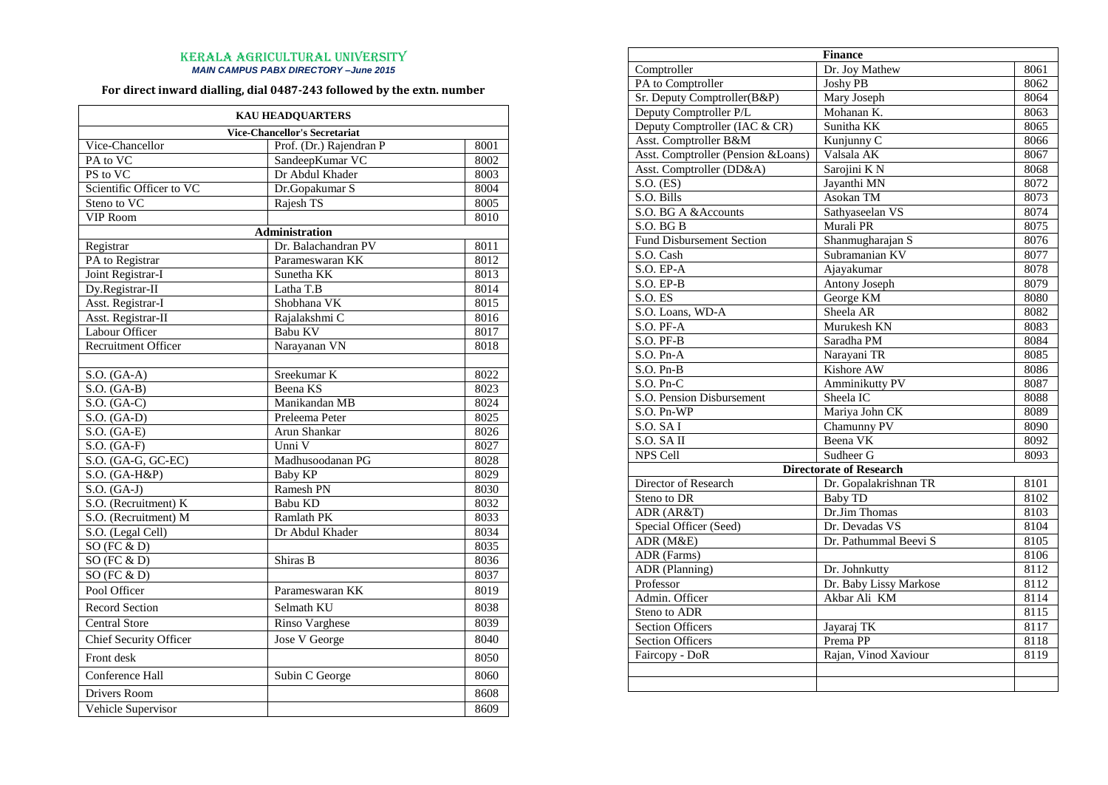## KERALA AGRICULTURAL UNIVERSITY *MAIN CAMPUS PABX DIRECTORY –June 2015*

## **For direct inward dialling, dial 0487-243 followed by the extn. number**

| <b>KAU HEADQUARTERS</b>    |                                      |      |  |  |
|----------------------------|--------------------------------------|------|--|--|
|                            | <b>Vice-Chancellor's Secretariat</b> |      |  |  |
| Vice-Chancellor            | Prof. (Dr.) Rajendran P              | 8001 |  |  |
| PA to VC                   | SandeepKumar VC                      | 8002 |  |  |
| PS to VC                   | Dr Abdul Khader                      | 8003 |  |  |
| Scientific Officer to VC   | Dr.Gopakumar S                       | 8004 |  |  |
| Steno to VC                | Rajesh TS                            | 8005 |  |  |
| <b>VIP Room</b>            |                                      | 8010 |  |  |
|                            | Administration                       |      |  |  |
| Registrar                  | Dr. Balachandran PV                  | 8011 |  |  |
| PA to Registrar            | Parameswaran KK                      | 8012 |  |  |
| Joint Registrar-I          | Sunetha KK                           | 8013 |  |  |
| Dy.Registrar-II            | Latha T.B                            | 8014 |  |  |
| Asst. Registrar-I          | Shobhana VK                          | 8015 |  |  |
| Asst. Registrar-II         | Rajalakshmi C                        | 8016 |  |  |
| Labour Officer             | Babu KV                              | 8017 |  |  |
| <b>Recruitment Officer</b> | Narayanan VN                         | 8018 |  |  |
|                            |                                      |      |  |  |
| $S.O.$ (GA-A)              | Sreekumar K                          | 8022 |  |  |
| $S.O.$ (GA-B)              | Beena KS                             | 8023 |  |  |
| $S.O.$ (GA-C)              | Manikandan MB                        | 8024 |  |  |
| $S.O.$ (GA-D)              | Preleema Peter                       | 8025 |  |  |
| $S.O.$ (GA-E)              | Arun Shankar                         | 8026 |  |  |
| $S.O.$ (GA-F)              | Unni V                               | 8027 |  |  |
| $S.O.$ (GA-G, GC-EC)       | Madhusoodanan PG                     | 8028 |  |  |
| $S.O.$ (GA-H&P)            | <b>Baby KP</b>                       | 8029 |  |  |
| $S.O.$ (GA-J)              | Ramesh PN                            | 8030 |  |  |
| S.O. (Recruitment) K       | Babu KD                              | 8032 |  |  |
| S.O. (Recruitment) M       | <b>Ramlath PK</b>                    | 8033 |  |  |
| S.O. (Legal Cell)          | Dr Abdul Khader                      | 8034 |  |  |
| SO $(FC & D)$              |                                      | 8035 |  |  |
| SO(FC & D)                 | Shiras B                             | 8036 |  |  |
| $SO$ (FC $\&$ D)           |                                      | 8037 |  |  |
| Pool Officer               | Parameswaran KK                      | 8019 |  |  |
| <b>Record Section</b>      | Selmath KU                           | 8038 |  |  |
| <b>Central Store</b>       | Rinso Varghese                       | 8039 |  |  |
| Chief Security Officer     | Jose V George                        | 8040 |  |  |
| Front desk                 |                                      | 8050 |  |  |
| Conference Hall            | Subin C George                       | 8060 |  |  |
| Drivers Room               |                                      | 8608 |  |  |
| Vehicle Supervisor         |                                      | 8609 |  |  |

| <b>Finance</b>                     |                                |      |
|------------------------------------|--------------------------------|------|
| Comptroller                        | Dr. Joy Mathew                 | 8061 |
| PA to Comptroller                  | <b>Joshy PB</b>                | 8062 |
| Sr. Deputy Comptroller(B&P)        | Mary Joseph                    | 8064 |
| Deputy Comptroller P/L             | Mohanan K.                     | 8063 |
| Deputy Comptroller (IAC & CR)      | Sunitha KK                     | 8065 |
| Asst. Comptroller B&M              | Kunjunny C                     | 8066 |
| Asst. Comptroller (Pension &Loans) | Valsala AK                     | 8067 |
| Asst. Comptroller (DD&A)           | Sarojini KN                    | 8068 |
| $S.O.$ (ES)                        | Jayanthi MN                    | 8072 |
| S.O. Bills                         | Asokan TM                      | 8073 |
| S.O. BG A & Accounts               | Sathyaseelan VS                | 8074 |
| S.O. BGB                           | Murali PR                      | 8075 |
| <b>Fund Disbursement Section</b>   | Shanmugharajan S               | 8076 |
| S.O. Cash                          | Subramanian KV                 | 8077 |
| S.O. EPA                           | Ajayakumar                     | 8078 |
| $S.O. E.P-B$                       | <b>Antony Joseph</b>           | 8079 |
| $S.O.$ ES                          | George KM                      | 8080 |
| S.O. Loans, WD-A                   | Sheela AR                      | 8082 |
| S.O. PF-A                          | Murukesh KN                    | 8083 |
| S.O. PF-B                          | Saradha PM                     | 8084 |
| $S.O. Pn-A$                        | Narayani TR                    | 8085 |
| $S.O. Pn-B$                        | Kishore AW                     | 8086 |
| $S.O. Pn-C$                        | <b>Amminikutty PV</b>          | 8087 |
| S.O. Pension Disbursement          | Sheela IC                      | 8088 |
| $S.O. Pn-WP$                       | Mariya John CK                 | 8089 |
| S.O. SAI                           | Chamunny PV                    | 8090 |
| S.O. SA II                         | Beena VK                       | 8092 |
| NPS Cell                           | Sudheer G                      | 8093 |
|                                    | <b>Directorate of Research</b> |      |
| Director of Research               | Dr. Gopalakrishnan TR          | 8101 |
| Steno to DR                        | <b>Baby TD</b>                 | 8102 |
| ADR (AR&T)                         | Dr.Jim Thomas                  | 8103 |
| Special Officer (Seed)             | Dr. Devadas VS                 | 8104 |
| ADR (M&E)                          | Dr. Pathummal Beevi S          | 8105 |
| ADR (Farms)                        |                                | 8106 |
| <b>ADR</b> (Planning)              | Dr. Johnkutty                  | 8112 |
| Professor                          | Dr. Baby Lissy Markose         | 8112 |
| Admin. Officer                     | Akbar Ali KM                   | 8114 |
| Steno to ADR                       |                                | 8115 |
| <b>Section Officers</b>            | Jayaraj TK                     | 8117 |
| <b>Section Officers</b>            | Prema PP                       | 8118 |
| Faircopy - DoR                     | Rajan, Vinod Xaviour           | 8119 |
|                                    |                                |      |
|                                    |                                |      |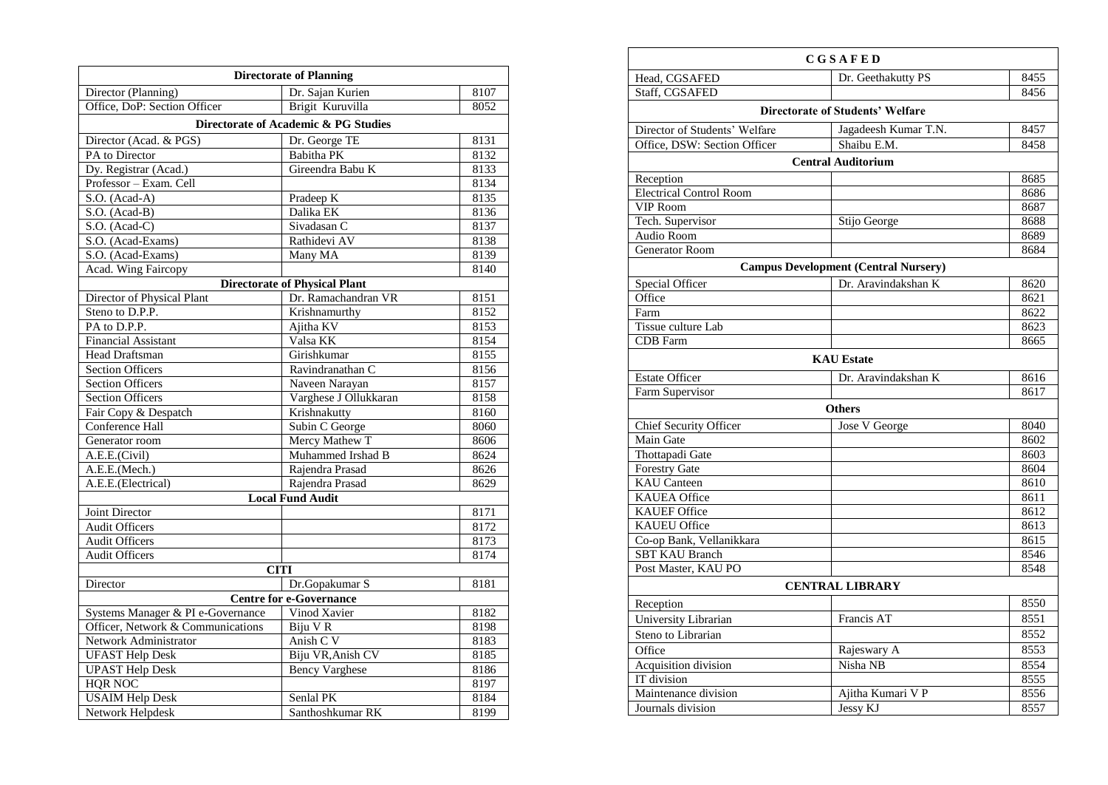| <b>Directorate of Planning</b>    |                                      |      |  |
|-----------------------------------|--------------------------------------|------|--|
| Director (Planning)               | Dr. Sajan Kurien                     | 8107 |  |
| Office, DoP: Section Officer      | Brigit Kuruvilla                     | 8052 |  |
|                                   | Directorate of Academic & PG Studies |      |  |
| Director (Acad. & PGS)            | Dr. George TE                        | 8131 |  |
| PA to Director                    | Babitha PK                           | 8132 |  |
| Dy. Registrar (Acad.)             | Gireendra Babu K                     | 8133 |  |
| Professor - Exam. Cell            |                                      | 8134 |  |
| S.O. (Acad-A)                     | Pradeep K                            | 8135 |  |
| S.O. (Acad-B)                     | Dalika EK                            | 8136 |  |
| S.O. (Acad-C)                     | Sivadasan C                          | 8137 |  |
| S.O. (Acad-Exams)                 | Rathidevi AV                         | 8138 |  |
| S.O. (Acad-Exams)                 | Many MA                              | 8139 |  |
| <b>Acad.</b> Wing Faircopy        |                                      | 8140 |  |
|                                   | <b>Directorate of Physical Plant</b> |      |  |
| Director of Physical Plant        | Dr. Ramachandran VR                  | 8151 |  |
| Steno to D.P.P.                   | Krishnamurthy                        | 8152 |  |
| PA to D.P.P.                      | Ajitha KV                            | 8153 |  |
| <b>Financial Assistant</b>        | Valsa KK                             | 8154 |  |
| <b>Head Draftsman</b>             | Girishkumar                          | 8155 |  |
| <b>Section Officers</b>           | Ravindranathan C                     | 8156 |  |
| <b>Section Officers</b>           | Naveen Narayan                       | 8157 |  |
| <b>Section Officers</b>           | Varghese J Ollukkaran                | 8158 |  |
| Fair Copy & Despatch              | Krishnakutty                         | 8160 |  |
| Conference Hall                   | Subin C George                       | 8060 |  |
| Generator room                    | Mercy Mathew T                       | 8606 |  |
| A.E.E.(Civil)                     | Muhammed Irshad B                    | 8624 |  |
| A.E.E.(Mech.)                     | Rajendra Prasad                      | 8626 |  |
| A.E.E.(Electrical)                | Rajendra Prasad                      | 8629 |  |
|                                   | <b>Local Fund Audit</b>              |      |  |
| Joint Director                    |                                      | 8171 |  |
| <b>Audit Officers</b>             |                                      | 8172 |  |
| <b>Audit Officers</b>             |                                      | 8173 |  |
| <b>Audit Officers</b>             |                                      | 8174 |  |
|                                   | <b>CITI</b>                          |      |  |
| Director                          | Dr.Gopakumar S                       | 8181 |  |
|                                   | <b>Centre for e-Governance</b>       |      |  |
| Systems Manager & PI e-Governance | Vinod Xavier                         | 8182 |  |
| Officer, Network & Communications | Biju V R                             | 8198 |  |
| Network Administrator             | Anish C V                            | 8183 |  |
| <b>UFAST Help Desk</b>            | Biju VR, Anish CV                    | 8185 |  |
| <b>UPAST Help Desk</b>            | <b>Bency Varghese</b>                | 8186 |  |
| HQR NOC                           |                                      | 8197 |  |
| <b>USAIM Help Desk</b>            | Senlal PK                            | 8184 |  |
| Network Helpdesk                  | Santhoshkumar RK                     | 8199 |  |

|                                | CGSAFED                                     |      |
|--------------------------------|---------------------------------------------|------|
| Head, CGSAFED                  | Dr. Geethakutty PS                          | 8455 |
| Staff, CGSAFED                 |                                             | 8456 |
|                                | <b>Directorate of Students' Welfare</b>     |      |
| Director of Students' Welfare  | Jagadeesh Kumar T.N.                        | 8457 |
| Office, DSW: Section Officer   | Shaibu E.M.                                 | 8458 |
|                                | <b>Central Auditorium</b>                   |      |
| Reception                      |                                             | 8685 |
| <b>Electrical Control Room</b> |                                             | 8686 |
| <b>VIP Room</b>                |                                             | 8687 |
| Tech. Supervisor               | Stijo George                                | 8688 |
| Audio Room                     |                                             | 8689 |
| <b>Generator Room</b>          |                                             | 8684 |
|                                | <b>Campus Development (Central Nursery)</b> |      |
| Special Officer                | Dr. Aravindakshan K                         | 8620 |
| Office                         |                                             | 8621 |
| Farm                           |                                             | 8622 |
| <b>Tissue culture Lab</b>      |                                             | 8623 |
| <b>CDB</b> Farm                |                                             | 8665 |
|                                | <b>KAU Estate</b>                           |      |
| <b>Estate Officer</b>          | Dr. Aravindakshan K                         | 8616 |
| Farm Supervisor                |                                             | 8617 |
|                                | <b>Others</b>                               |      |
| <b>Chief Security Officer</b>  | Jose V George                               | 8040 |
| Main Gate                      |                                             | 8602 |
| Thottapadi Gate                |                                             | 8603 |
| <b>Forestry Gate</b>           |                                             | 8604 |
| <b>KAU</b> Canteen             |                                             | 8610 |
| <b>KAUEA</b> Office            |                                             | 8611 |
| <b>KAUEF Office</b>            |                                             | 8612 |
| <b>KAUEU Office</b>            |                                             | 8613 |
| Co-op Bank, Vellanikkara       |                                             | 8615 |
| <b>SBT KAU Branch</b>          |                                             | 8546 |
| Post Master, KAU PO            |                                             | 8548 |
|                                | <b>CENTRAL LIBRARY</b>                      |      |
| Reception                      |                                             | 8550 |
| University Librarian           | Francis AT                                  | 8551 |
| Steno to Librarian             |                                             | 8552 |
| Office                         | Rajeswary A                                 | 8553 |
| Acquisition division           | Nisha NB                                    | 8554 |
| IT division                    |                                             | 8555 |
| Maintenance division           | Ajitha Kumari V P                           | 8556 |
| Journals division              | Jessy KJ                                    | 8557 |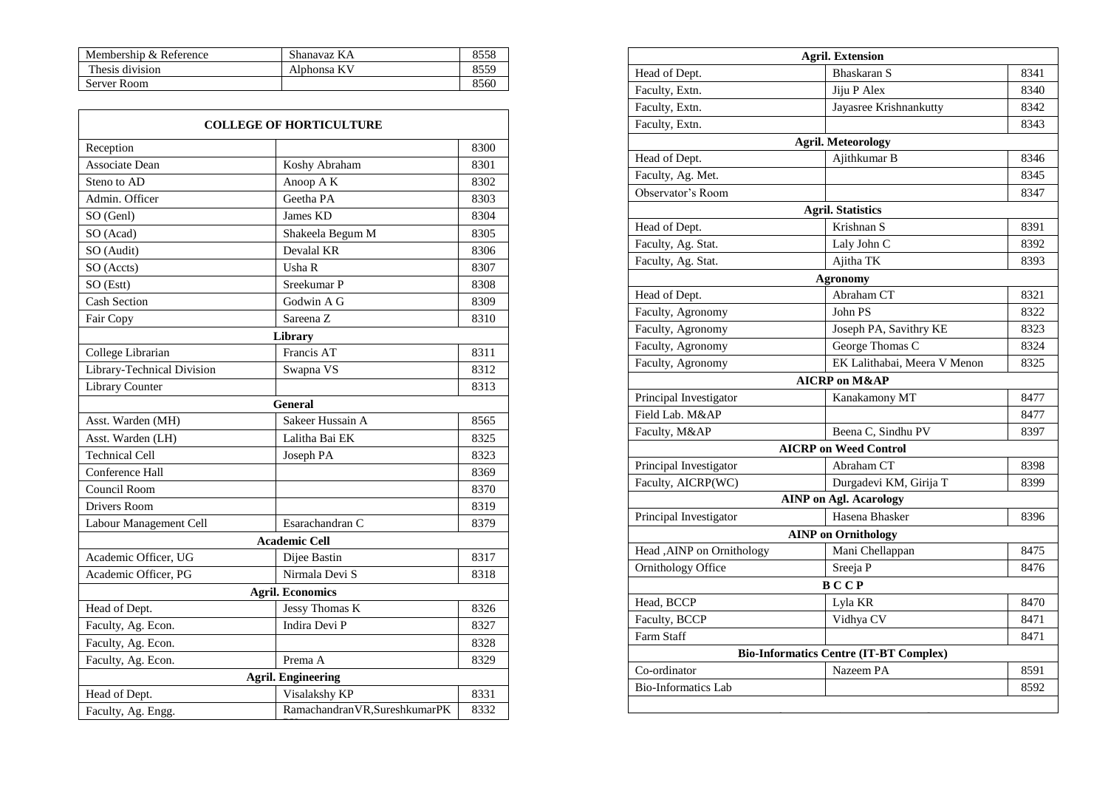| Membership & Reference | Shanavaz KA | 8558 |
|------------------------|-------------|------|
| Thesis division        | Alphonsa KV | 8559 |
| Server Room            |             | 8560 |

|                            | <b>COLLEGE OF HORTICULTURE</b> |      |
|----------------------------|--------------------------------|------|
| Reception                  |                                | 8300 |
| Associate Dean             | Koshy Abraham                  | 8301 |
| Steno to AD                | Anoop A K                      | 8302 |
| Admin. Officer             | Geetha PA                      | 8303 |
| SO (Genl)                  | James KD                       | 8304 |
| SO (Acad)                  | Shakeela Begum M               | 8305 |
| SO (Audit)                 | Devalal KR                     | 8306 |
| SO (Accts)                 | Usha R                         | 8307 |
| SO (Estt)                  | Sreekumar P                    | 8308 |
| <b>Cash Section</b>        | Godwin A G                     | 8309 |
| Fair Copy                  | Sareena Z                      | 8310 |
|                            | Library                        |      |
| College Librarian          | Francis AT                     | 8311 |
| Library-Technical Division | Swapna VS                      | 8312 |
| Library Counter            |                                | 8313 |
|                            | <b>General</b>                 |      |
| Asst. Warden (MH)          | Sakeer Hussain A               | 8565 |
| Asst. Warden (LH)          | Lalitha Bai EK                 | 8325 |
| <b>Technical Cell</b>      | Joseph PA                      | 8323 |
| Conference Hall            |                                | 8369 |
| Council Room               |                                | 8370 |
| Drivers Room               |                                | 8319 |
| Labour Management Cell     | Esarachandran C                | 8379 |
|                            | <b>Academic Cell</b>           |      |
| Academic Officer, UG       | Dijee Bastin                   | 8317 |
| Academic Officer, PG       | Nirmala Devi S                 | 8318 |
|                            | <b>Agril. Economics</b>        |      |
| Head of Dept.              | Jessy Thomas K                 | 8326 |
| Faculty, Ag. Econ.         | Indira Devi P                  | 8327 |
| Faculty, Ag. Econ.         |                                | 8328 |
| Faculty, Ag. Econ.         | Prema A                        | 8329 |
|                            | <b>Agril. Engineering</b>      |      |
| Head of Dept.              | Visalakshy KP                  | 8331 |
| Faculty, Ag. Engg.         | Ramachandran VR, SureshkumarPK | 8332 |

|                            | <b>Agril. Extension</b>                       |      |
|----------------------------|-----------------------------------------------|------|
| Head of Dept.              | Bhaskaran S                                   | 8341 |
| Faculty, Extn.             | Jiju P Alex                                   | 8340 |
| Faculty, Extn.             | Jayasree Krishnankutty                        | 8342 |
| Faculty, Extn.             |                                               | 8343 |
|                            | <b>Agril. Meteorology</b>                     |      |
| Head of Dept.              | Ajithkumar B                                  | 8346 |
| Faculty, Ag. Met.          |                                               | 8345 |
| Observator's Room          |                                               | 8347 |
|                            | <b>Agril. Statistics</b>                      |      |
| Head of Dept.              | Krishnan S                                    | 8391 |
| Faculty, Ag. Stat.         | Laly John C                                   | 8392 |
| Faculty, Ag. Stat.         | Ajitha TK                                     | 8393 |
|                            | <b>Agronomy</b>                               |      |
| Head of Dept.              | Abraham CT                                    | 8321 |
| Faculty, Agronomy          | John PS                                       | 8322 |
| Faculty, Agronomy          | Joseph PA, Savithry KE                        | 8323 |
| Faculty, Agronomy          | George Thomas C                               | 8324 |
| Faculty, Agronomy          | EK Lalithabai, Meera V Menon                  | 8325 |
|                            | <b>AICRP</b> on M&AP                          |      |
| Principal Investigator     | Kanakamony MT                                 | 8477 |
| Field Lab. M&AP            |                                               | 8477 |
| Faculty, M&AP              | Beena C, Sindhu PV                            | 8397 |
|                            | <b>AICRP</b> on Weed Control                  |      |
| Principal Investigator     | Abraham CT                                    | 8398 |
| Faculty, AICRP(WC)         | Durgadevi KM, Girija T                        | 8399 |
|                            | <b>AINP</b> on Agl. Acarology                 |      |
| Principal Investigator     | Hasena Bhasker                                | 8396 |
|                            | <b>AINP</b> on Ornithology                    |      |
| Head , AINP on Ornithology | Mani Chellappan                               | 8475 |
| Ornithology Office         | Sreeja P                                      | 8476 |
|                            | <b>BCCP</b>                                   |      |
| Head, BCCP                 | Lyla KR                                       | 8470 |
| Faculty, BCCP              | Vidhya CV                                     | 8471 |
| Farm Staff                 |                                               | 8471 |
|                            | <b>Bio-Informatics Centre (IT-BT Complex)</b> |      |
| Co-ordinator               | Nazeem PA                                     | 8591 |
| <b>Bio-Informatics Lab</b> |                                               | 8592 |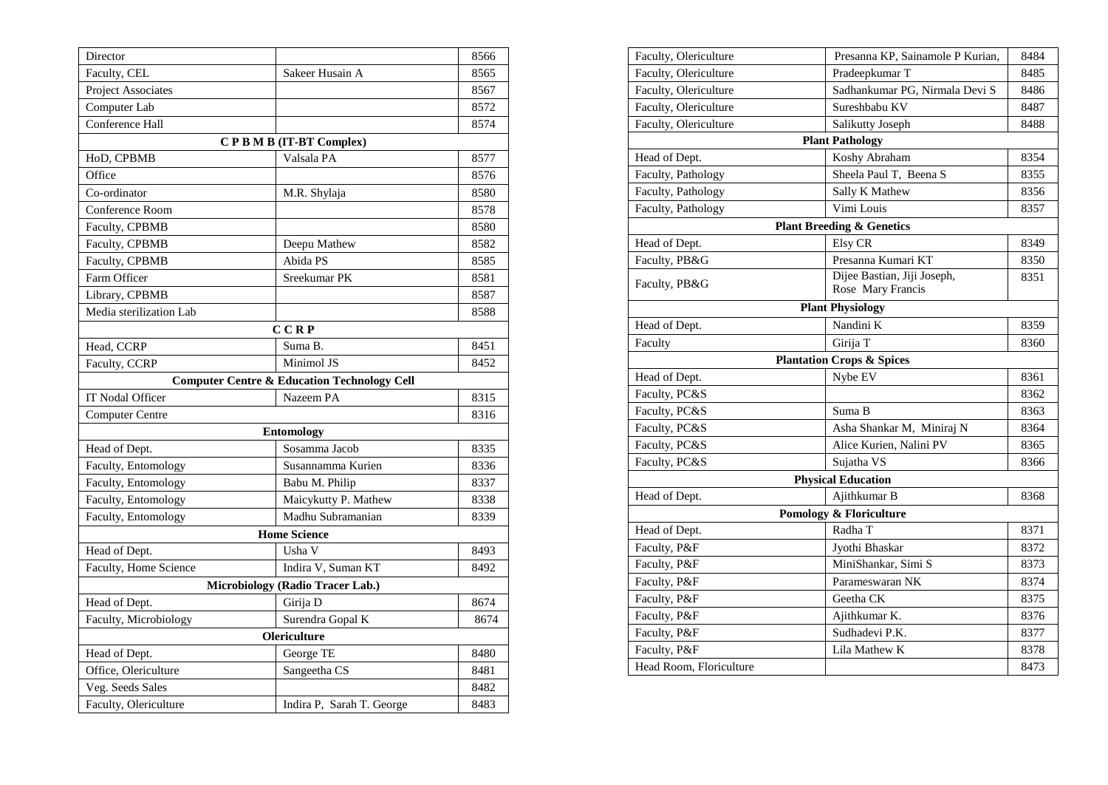| Director                         |                                                        | 8566 |  |  |
|----------------------------------|--------------------------------------------------------|------|--|--|
| Faculty, CEL                     | Sakeer Husain A                                        | 8565 |  |  |
| Project Associates               |                                                        | 8567 |  |  |
| Computer Lab                     |                                                        | 8572 |  |  |
| Conference Hall                  |                                                        | 8574 |  |  |
|                                  | CPBMB (IT-BT Complex)                                  |      |  |  |
| HoD, CPBMB                       | Valsala PA                                             | 8577 |  |  |
| Office                           |                                                        | 8576 |  |  |
| Co-ordinator                     | M.R. Shylaja                                           | 8580 |  |  |
| Conference Room                  |                                                        | 8578 |  |  |
| Faculty, CPBMB                   |                                                        | 8580 |  |  |
| Faculty, CPBMB                   | Deepu Mathew                                           | 8582 |  |  |
| Faculty, CPBMB                   | Abida PS                                               | 8585 |  |  |
| Farm Officer                     | Sreekumar PK                                           | 8581 |  |  |
| Library, CPBMB                   |                                                        | 8587 |  |  |
| Media sterilization Lab          |                                                        | 8588 |  |  |
|                                  | CCRP                                                   |      |  |  |
| Head, CCRP                       | Suma B.                                                | 8451 |  |  |
| Faculty, CCRP                    | Minimol JS                                             | 8452 |  |  |
|                                  | <b>Computer Centre &amp; Education Technology Cell</b> |      |  |  |
| IT Nodal Officer                 | Nazeem PA                                              | 8315 |  |  |
| <b>Computer Centre</b>           |                                                        | 8316 |  |  |
|                                  | <b>Entomology</b>                                      |      |  |  |
| Head of Dept.                    | Sosamma Jacob                                          | 8335 |  |  |
| Faculty, Entomology              | Susannamma Kurien                                      | 8336 |  |  |
| Faculty, Entomology              | Babu M. Philip                                         | 8337 |  |  |
| Faculty, Entomology              | Maicykutty P. Mathew                                   | 8338 |  |  |
| Faculty, Entomology              | Madhu Subramanian                                      | 8339 |  |  |
|                                  | <b>Home Science</b>                                    |      |  |  |
| Head of Dept.                    | Usha V                                                 | 8493 |  |  |
| Faculty, Home Science            | Indira V, Suman KT                                     | 8492 |  |  |
| Microbiology (Radio Tracer Lab.) |                                                        |      |  |  |
| Head of Dept.                    | Girija D                                               | 8674 |  |  |
| Faculty, Microbiology            | Surendra Gopal K                                       | 8674 |  |  |
| Olericulture                     |                                                        |      |  |  |
| Head of Dept.                    | George TE                                              | 8480 |  |  |
| Office, Olericulture             | Sangeetha CS                                           | 8481 |  |  |
| Veg. Seeds Sales                 |                                                        | 8482 |  |  |
| Faculty, Olericulture            | Indira P, Sarah T. George                              | 8483 |  |  |

| Faculty, Olericulture   | Presanna KP, Sainamole P Kurian,     | 8484 |
|-------------------------|--------------------------------------|------|
| Faculty, Olericulture   | Pradeepkumar T                       | 8485 |
| Faculty, Olericulture   | Sadhankumar PG, Nirmala Devi S       | 8486 |
| Faculty, Olericulture   | Sureshbabu KV                        | 8487 |
| Faculty, Olericulture   | Salikutty Joseph                     | 8488 |
|                         | <b>Plant Pathology</b>               |      |
| Head of Dept.           | Koshy Abraham                        | 8354 |
| Faculty, Pathology      | Sheela Paul T, Beena S               | 8355 |
| Faculty, Pathology      | Sally K Mathew                       | 8356 |
| Faculty, Pathology      | Vimi Louis                           | 8357 |
|                         | <b>Plant Breeding &amp; Genetics</b> |      |
| Head of Dept.           | Elsy CR                              | 8349 |
| Faculty, PB&G           | Presanna Kumari KT                   | 8350 |
| Faculty, PB&G           | Dijee Bastian, Jiji Joseph,          | 8351 |
|                         | Rose Mary Francis                    |      |
|                         | <b>Plant Physiology</b>              |      |
| Head of Dept.           | Nandini K                            | 8359 |
| Faculty                 | Girija T                             | 8360 |
|                         | <b>Plantation Crops &amp; Spices</b> |      |
| Head of Dept.           | Nybe EV                              | 8361 |
| Faculty, PC&S           |                                      | 8362 |
| Faculty, PC&S           | Suma B                               | 8363 |
| Faculty, PC&S           | Asha Shankar M, Miniraj N            | 8364 |
| Faculty, PC&S           | Alice Kurien, Nalini PV              | 8365 |
| Faculty, PC&S           | Sujatha VS                           | 8366 |
|                         | <b>Physical Education</b>            |      |
| Head of Dept.           | Ajithkumar B                         | 8368 |
|                         | Pomology & Floriculture              |      |
| Head of Dept.           | Radha T                              | 8371 |
| Faculty, P&F            | Jyothi Bhaskar                       | 8372 |
| Faculty, P&F            | MiniShankar, Simi S                  | 8373 |
| Faculty, P&F            | Parameswaran NK                      | 8374 |
| Faculty, P&F            | Geetha CK                            | 8375 |
| Faculty, P&F            | Ajithkumar K.                        | 8376 |
| Faculty, P&F            | Sudhadevi P.K.                       | 8377 |
| Faculty, P&F            | Lila Mathew K                        | 8378 |
| Head Room, Floriculture |                                      | 8473 |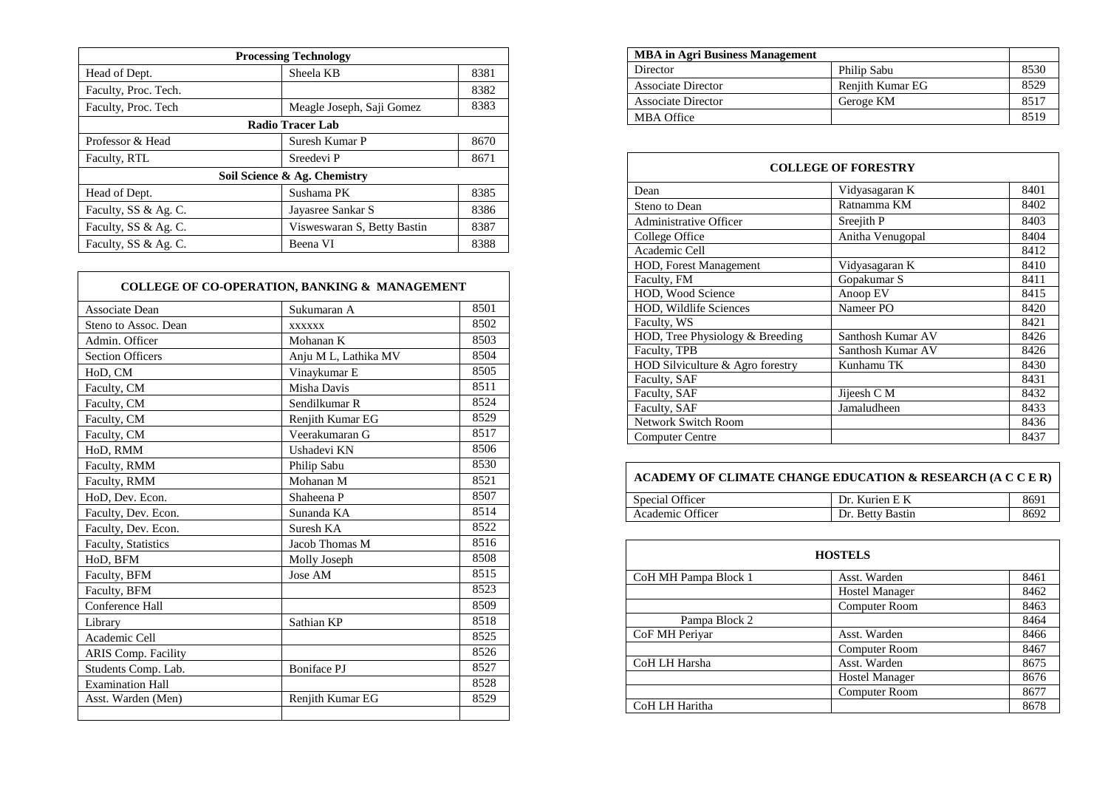| <b>Processing Technology</b> |                             |      |
|------------------------------|-----------------------------|------|
| Head of Dept.                | Sheela KB                   | 8381 |
| Faculty, Proc. Tech.         |                             | 8382 |
| Faculty, Proc. Tech          | Meagle Joseph, Saji Gomez   | 8383 |
| <b>Radio Tracer Lab</b>      |                             |      |
| Professor & Head             | Suresh Kumar P              | 8670 |
| Faculty, RTL                 | Sreedevi P                  | 8671 |
| Soil Science & Ag. Chemistry |                             |      |
| Head of Dept.                | Sushama PK                  | 8385 |
| Faculty, SS & Ag. C.         | Jayasree Sankar S           | 8386 |
| Faculty, SS & Ag. C.         | Visweswaran S, Betty Bastin | 8387 |
| Faculty, SS & Ag. C.         | Beena VI                    | 8388 |

| <b>COLLEGE OF CO-OPERATION, BANKING &amp; MANAGEMENT</b> |                      |      |
|----------------------------------------------------------|----------------------|------|
| Associate Dean                                           | Sukumaran A          | 8501 |
| Steno to Assoc. Dean                                     | <b>XXXXXX</b>        | 8502 |
| Admin. Officer                                           | Mohanan K            | 8503 |
| <b>Section Officers</b>                                  | Anju M L, Lathika MV | 8504 |
| HoD, CM                                                  | Vinaykumar E         | 8505 |
| Faculty, CM                                              | Misha Davis          | 8511 |
| Faculty, CM                                              | Sendilkumar R        | 8524 |
| Faculty, CM                                              | Renjith Kumar EG     | 8529 |
| Faculty, CM                                              | Veerakumaran G       | 8517 |
| HoD, RMM                                                 | Ushadevi KN          | 8506 |
| Faculty, RMM                                             | Philip Sabu          | 8530 |
| Faculty, RMM                                             | Mohanan M            | 8521 |
| HoD, Dev. Econ.                                          | Shaheena P           | 8507 |
| Faculty, Dev. Econ.                                      | Sunanda KA           | 8514 |
| Faculty, Dev. Econ.                                      | Suresh KA            | 8522 |
| Faculty, Statistics                                      | Jacob Thomas M       | 8516 |
| HoD, BFM                                                 | Molly Joseph         | 8508 |
| Faculty, BFM                                             | Jose AM              | 8515 |
| Faculty, BFM                                             |                      | 8523 |
| Conference Hall                                          |                      | 8509 |
| Library                                                  | Sathian KP           | 8518 |
| Academic Cell                                            |                      | 8525 |
| <b>ARIS Comp. Facility</b>                               |                      | 8526 |
| Students Comp. Lab.                                      | <b>Boniface PJ</b>   | 8527 |
| <b>Examination Hall</b>                                  |                      | 8528 |
| Asst. Warden (Men)                                       | Renjith Kumar EG     | 8529 |
|                                                          |                      |      |

| <b>MBA in Agri Business Management</b> |                  |      |
|----------------------------------------|------------------|------|
| Director                               | Philip Sabu      | 8530 |
| <b>Associate Director</b>              | Renjith Kumar EG | 8529 |
| <b>Associate Director</b>              | Geroge KM        | 8517 |
| <b>MBA Office</b>                      |                  | 8519 |

 $\mathsf{T}$ 

| <b>COLLEGE OF FORESTRY</b>       |                   |      |  |  |
|----------------------------------|-------------------|------|--|--|
| Dean                             | Vidyasagaran K    | 8401 |  |  |
| Steno to Dean                    | Ratnamma KM       | 8402 |  |  |
| <b>Administrative Officer</b>    | Sreejith P        | 8403 |  |  |
| College Office                   | Anitha Venugopal  | 8404 |  |  |
| Academic Cell                    |                   | 8412 |  |  |
| <b>HOD, Forest Management</b>    | Vidyasagaran K    | 8410 |  |  |
| Faculty, FM                      | Gopakumar S       | 8411 |  |  |
| HOD, Wood Science                | Anoop EV          | 8415 |  |  |
| <b>HOD, Wildlife Sciences</b>    | Nameer PO         | 8420 |  |  |
| Faculty, WS                      |                   | 8421 |  |  |
| HOD, Tree Physiology & Breeding  | Santhosh Kumar AV | 8426 |  |  |
| Faculty, TPB                     | Santhosh Kumar AV | 8426 |  |  |
| HOD Silviculture & Agro forestry | Kunhamu TK        | 8430 |  |  |
| Faculty, SAF                     |                   | 8431 |  |  |
| Faculty, SAF                     | Jijeesh C M       | 8432 |  |  |
| Faculty, SAF                     | Jamaludheen       | 8433 |  |  |
| <b>Network Switch Room</b>       |                   | 8436 |  |  |
| <b>Computer Centre</b>           |                   | 8437 |  |  |

## **ACADEMY OF CLIMATE CHANGE EDUCATION & RESEARCH (A C C E R)**

| Special Officer  | Dr. Kurien E K   | 869. |
|------------------|------------------|------|
| Academic Officer | Dr. Betty Bastin | 869. |

| <b>HOSTELS</b>       |                       |      |  |
|----------------------|-----------------------|------|--|
| CoH MH Pampa Block 1 | Asst. Warden          | 8461 |  |
|                      | <b>Hostel Manager</b> | 8462 |  |
|                      | Computer Room         | 8463 |  |
| Pampa Block 2        |                       | 8464 |  |
| CoF MH Perivar       | Asst. Warden          | 8466 |  |
|                      | Computer Room         | 8467 |  |
| CoH LH Harsha        | Asst. Warden          | 8675 |  |
|                      | <b>Hostel Manager</b> | 8676 |  |
|                      | Computer Room         | 8677 |  |
| CoH LH Haritha       |                       | 8678 |  |